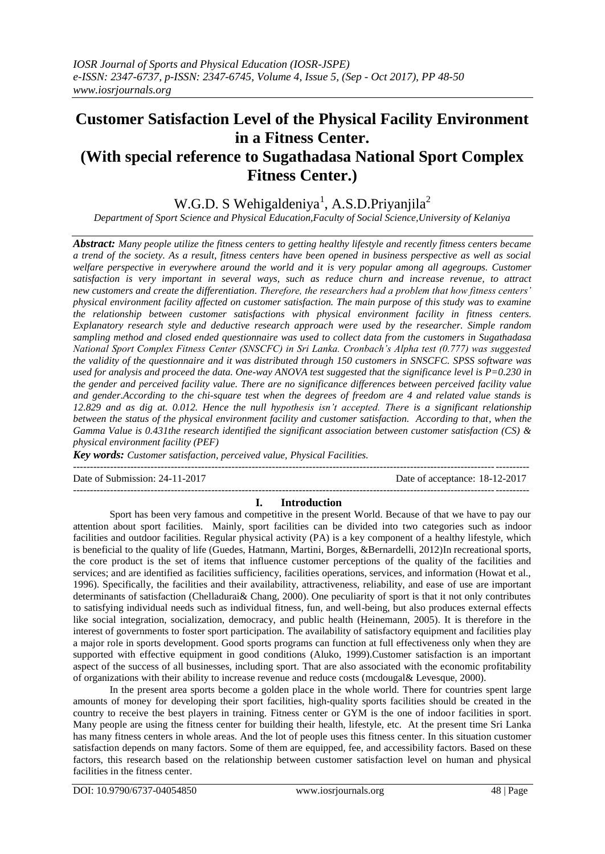# **Customer Satisfaction Level of the Physical Facility Environment in a Fitness Center. (With special reference to Sugathadasa National Sport Complex Fitness Center.)**

## W.G.D. S Wehigaldeniya<sup>1</sup>, A.S.D. Priyanjila<sup>2</sup>

*Department of Sport Science and Physical Education,Faculty of Social Science,University of Kelaniya*

*Abstract: Many people utilize the fitness centers to getting healthy lifestyle and recently fitness centers became a trend of the society. As a result, fitness centers have been opened in business perspective as well as social welfare perspective in everywhere around the world and it is very popular among all agegroups. Customer satisfaction is very important in several ways, such as reduce churn and increase revenue, to attract new customers and create the differentiation. Therefore, the researchers had a problem that how fitness centers' physical environment facility affected on customer satisfaction. The main purpose of this study was to examine the relationship between customer satisfactions with physical environment facility in fitness centers. Explanatory research style and deductive research approach were used by the researcher. Simple random sampling method and closed ended questionnaire was used to collect data from the customers in Sugathadasa National Sport Complex Fitness Center (SNSCFC) in Sri Lanka. Cronbach's Alpha test (0.777) was suggested the validity of the questionnaire and it was distributed through 150 customers in SNSCFC. SPSS software was used for analysis and proceed the data. One-way ANOVA test suggested that the significance level is P=0.230 in the gender and perceived facility value. There are no significance differences between perceived facility value and gender.According to the chi-square test when the degrees of freedom are 4 and related value stands is 12.829 and as dig at. 0.012. Hence the null hypothesis isn't accepted. There is a significant relationship between the status of the physical environment facility and customer satisfaction. According to that, when the Gamma Value is 0.431the research identified the significant association between customer satisfaction (CS) & physical environment facility (PEF)*

*Key words: Customer satisfaction, perceived value, Physical Facilities.* 

---------------------------------------------------------------------------------------------------------------------------------------

Date of Submission: 24-11-2017 Date of acceptance: 18-12-2017

## --------------------------------------------------------------------------------------------------------------------------------------- **I. Introduction**

Sport has been very famous and competitive in the present World. Because of that we have to pay our attention about sport facilities. Mainly, sport facilities can be divided into two categories such as indoor facilities and outdoor facilities. Regular physical activity (PA) is a key component of a healthy lifestyle, which is beneficial to the quality of life (Guedes, Hatmann, Martini, Borges, &Bernardelli, 2012)In recreational sports, the core product is the set of items that influence customer perceptions of the quality of the facilities and services; and are identified as facilities sufficiency, facilities operations, services, and information (Howat et al., 1996). Specifically, the facilities and their availability, attractiveness, reliability, and ease of use are important determinants of satisfaction (Chelladurai& Chang, 2000). One peculiarity of sport is that it not only contributes to satisfying individual needs such as individual fitness, fun, and well-being, but also produces external effects like social integration, socialization, democracy, and public health (Heinemann, 2005). It is therefore in the interest of governments to foster sport participation. The availability of satisfactory equipment and facilities play a major role in sports development. Good sports programs can function at full effectiveness only when they are supported with effective equipment in good conditions (Aluko, 1999).Customer satisfaction is an important aspect of the success of all businesses, including sport. That are also associated with the economic profitability of organizations with their ability to increase revenue and reduce costs (mcdougal& Levesque, 2000).

In the present area sports become a golden place in the whole world. There for countries spent large amounts of money for developing their sport facilities, high-quality sports facilities should be created in the country to receive the best players in training. Fitness center or GYM is the one of indoor facilities in sport. Many people are using the fitness center for building their health, lifestyle, etc. At the present time Sri Lanka has many fitness centers in whole areas. And the lot of people uses this fitness center. In this situation customer satisfaction depends on many factors. Some of them are equipped, fee, and accessibility factors. Based on these factors, this research based on the relationship between customer satisfaction level on human and physical facilities in the fitness center.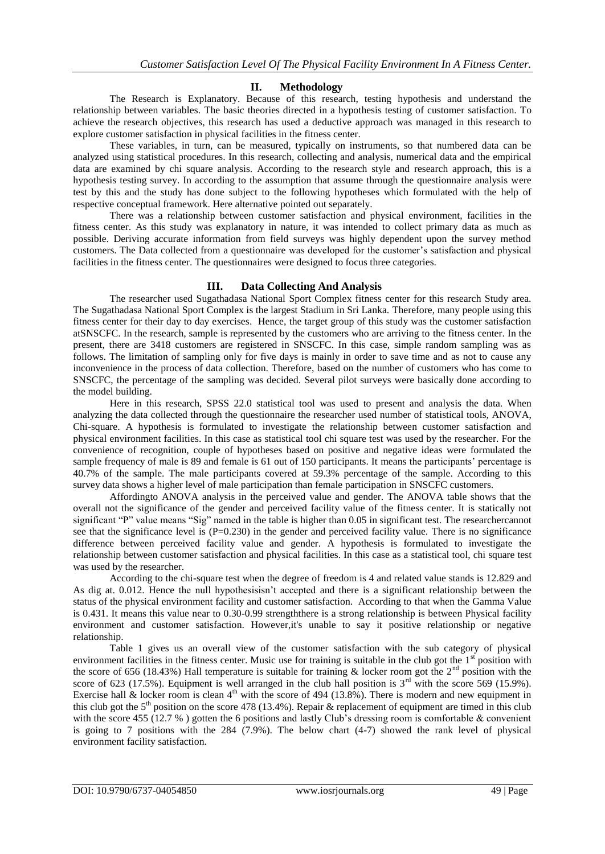## **II. Methodology**

The Research is Explanatory. Because of this research, testing hypothesis and understand the relationship between variables. The basic theories directed in a hypothesis testing of customer satisfaction. To achieve the research objectives, this research has used a deductive approach was managed in this research to explore customer satisfaction in physical facilities in the fitness center.

These variables, in turn, can be measured, typically on instruments, so that numbered data can be analyzed using statistical procedures. In this research, collecting and analysis, numerical data and the empirical data are examined by chi square analysis. According to the research style and research approach, this is a hypothesis testing survey. In according to the assumption that assume through the questionnaire analysis were test by this and the study has done subject to the following hypotheses which formulated with the help of respective conceptual framework. Here alternative pointed out separately.

There was a relationship between customer satisfaction and physical environment, facilities in the fitness center. As this study was explanatory in nature, it was intended to collect primary data as much as possible. Deriving accurate information from field surveys was highly dependent upon the survey method customers. The Data collected from a questionnaire was developed for the customer's satisfaction and physical facilities in the fitness center. The questionnaires were designed to focus three categories.

## **III. Data Collecting And Analysis**

The researcher used Sugathadasa National Sport Complex fitness center for this research Study area. The Sugathadasa National Sport Complex is the largest Stadium in Sri Lanka. Therefore, many people using this fitness center for their day to day exercises. Hence, the target group of this study was the customer satisfaction atSNSCFC. In the research, sample is represented by the customers who are arriving to the fitness center. In the present, there are 3418 customers are registered in SNSCFC. In this case, simple random sampling was as follows. The limitation of sampling only for five days is mainly in order to save time and as not to cause any inconvenience in the process of data collection. Therefore, based on the number of customers who has come to SNSCFC, the percentage of the sampling was decided. Several pilot surveys were basically done according to the model building.

Here in this research, SPSS 22.0 statistical tool was used to present and analysis the data. When analyzing the data collected through the questionnaire the researcher used number of statistical tools, ANOVA, Chi-square. A hypothesis is formulated to investigate the relationship between customer satisfaction and physical environment facilities. In this case as statistical tool chi square test was used by the researcher. For the convenience of recognition, couple of hypotheses based on positive and negative ideas were formulated the sample frequency of male is 89 and female is 61 out of 150 participants. It means the participants' percentage is 40.7% of the sample. The male participants covered at 59.3% percentage of the sample. According to this survey data shows a higher level of male participation than female participation in SNSCFC customers.

Affordingto ANOVA analysis in the perceived value and gender. The ANOVA table shows that the overall not the significance of the gender and perceived facility value of the fitness center. It is statically not significant "P" value means "Sig" named in the table is higher than 0.05 in significant test. The researchercannot see that the significance level is  $(P=0.230)$  in the gender and perceived facility value. There is no significance difference between perceived facility value and gender. A hypothesis is formulated to investigate the relationship between customer satisfaction and physical facilities. In this case as a statistical tool, chi square test was used by the researcher.

According to the chi-square test when the degree of freedom is 4 and related value stands is 12.829 and As dig at. 0.012. Hence the null hypothesisisn't accepted and there is a significant relationship between the status of the physical environment facility and customer satisfaction. According to that when the Gamma Value is 0.431. It means this value near to 0.30-0.99 strengththere is a strong relationship is between Physical facility environment and customer satisfaction. However,it's unable to say it positive relationship or negative relationship.

Table 1 gives us an overall view of the customer satisfaction with the sub category of physical environment facilities in the fitness center. Music use for training is suitable in the club got the  $1<sup>st</sup>$  position with the score of 656 (18.43%) Hall temperature is suitable for training  $\&$  locker room got the 2<sup>nd</sup> position with the score of 623 (17.5%). Equipment is well arranged in the club hall position is  $3<sup>rd</sup>$  with the score 569 (15.9%). Exercise hall & locker room is clean  $4<sup>th</sup>$  with the score of 494 (13.8%). There is modern and new equipment in this club got the 5<sup>th</sup> position on the score 478 (13.4%). Repair & replacement of equipment are timed in this club with the score 455 (12.7 %) gotten the 6 positions and lastly Club's dressing room is comfortable  $\&$  convenient is going to 7 positions with the 284 (7.9%). The below chart (4-7) showed the rank level of physical environment facility satisfaction.